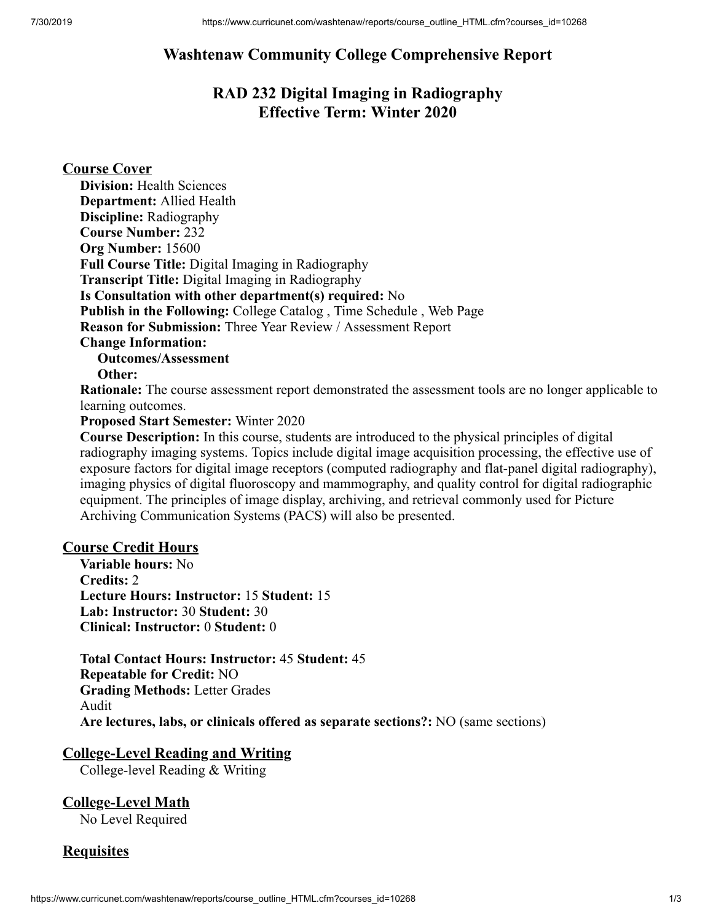## **Washtenaw Community College Comprehensive Report**

# **RAD 232 Digital Imaging in Radiography Effective Term: Winter 2020**

### **Course Cover**

| <b>Division: Health Sciences</b>                                                                             |
|--------------------------------------------------------------------------------------------------------------|
| <b>Department:</b> Allied Health                                                                             |
| <b>Discipline:</b> Radiography                                                                               |
| <b>Course Number: 232</b>                                                                                    |
| Org Number: 15600                                                                                            |
| <b>Full Course Title:</b> Digital Imaging in Radiography                                                     |
| <b>Transcript Title:</b> Digital Imaging in Radiography                                                      |
| Is Consultation with other department(s) required: No                                                        |
| <b>Publish in the Following:</b> College Catalog, Time Schedule, Web Page                                    |
| Reason for Submission: Three Year Review / Assessment Report                                                 |
| <b>Change Information:</b>                                                                                   |
| <b>Outcomes/Assessment</b>                                                                                   |
| Other:                                                                                                       |
| <b>Rationale:</b> The course assessment report demonstrated the assessment tools are no longer applicable to |
|                                                                                                              |

#### learning outcomes. **Proposed Start Semester:** Winter 2020

**Course Description:** In this course, students are introduced to the physical principles of digital radiography imaging systems. Topics include digital image acquisition processing, the effective use of exposure factors for digital image receptors (computed radiography and flat-panel digital radiography), imaging physics of digital fluoroscopy and mammography, and quality control for digital radiographic equipment. The principles of image display, archiving, and retrieval commonly used for Picture Archiving Communication Systems (PACS) will also be presented.

#### **Course Credit Hours**

**Variable hours:** No **Credits:** 2 **Lecture Hours: Instructor:** 15 **Student:** 15 **Lab: Instructor:** 30 **Student:** 30 **Clinical: Instructor:** 0 **Student:** 0

**Total Contact Hours: Instructor:** 45 **Student:** 45 **Repeatable for Credit:** NO **Grading Methods:** Letter Grades Audit **Are lectures, labs, or clinicals offered as separate sections?:** NO (same sections)

### **College-Level Reading and Writing**

College-level Reading & Writing

**College-Level Math** No Level Required

### **Requisites**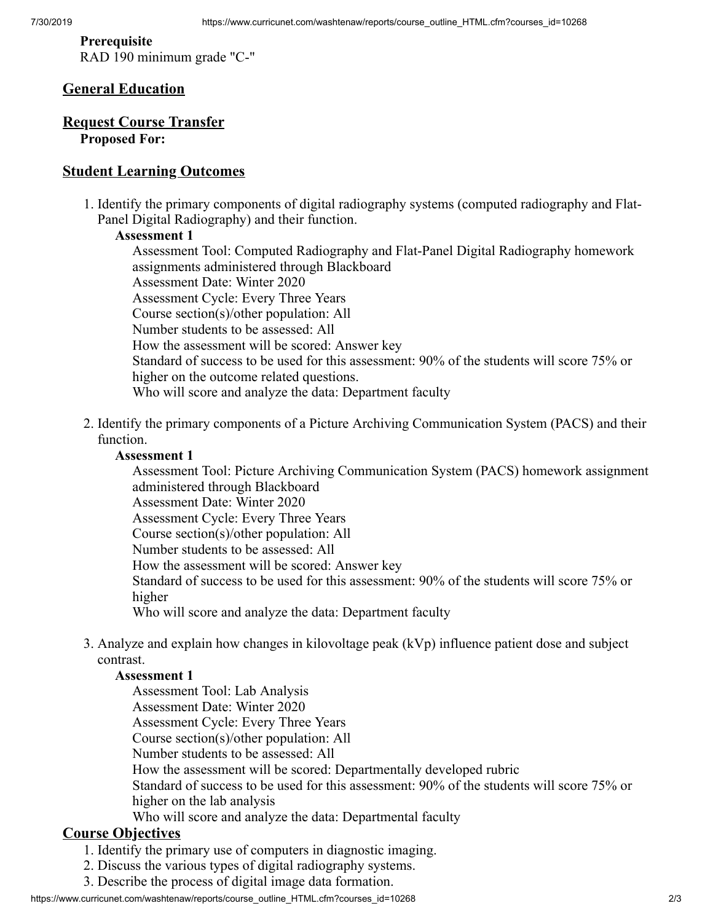**Prerequisite** RAD 190 minimum grade "C-"

#### **General Education**

#### **Request Course Transfer Proposed For:**

#### **Student Learning Outcomes**

1. Identify the primary components of digital radiography systems (computed radiography and Flat-Panel Digital Radiography) and their function.

#### **Assessment 1**

Assessment Tool: Computed Radiography and Flat-Panel Digital Radiography homework assignments administered through Blackboard Assessment Date: Winter 2020 Assessment Cycle: Every Three Years Course section(s)/other population: All Number students to be assessed: All How the assessment will be scored: Answer key Standard of success to be used for this assessment: 90% of the students will score 75% or higher on the outcome related questions. Who will score and analyze the data: Department faculty

2. Identify the primary components of a Picture Archiving Communication System (PACS) and their function.

#### **Assessment 1**

Assessment Tool: Picture Archiving Communication System (PACS) homework assignment administered through Blackboard

Assessment Date: Winter 2020

Assessment Cycle: Every Three Years

Course section(s)/other population: All

Number students to be assessed: All

How the assessment will be scored: Answer key

Standard of success to be used for this assessment: 90% of the students will score 75% or higher

Who will score and analyze the data: Department faculty

3. Analyze and explain how changes in kilovoltage peak (kVp) influence patient dose and subject contrast.

#### **Assessment 1**

Assessment Tool: Lab Analysis Assessment Date: Winter 2020 Assessment Cycle: Every Three Years Course section(s)/other population: All Number students to be assessed: All How the assessment will be scored: Departmentally developed rubric Standard of success to be used for this assessment: 90% of the students will score 75% or higher on the lab analysis Who will score and analyze the data: Departmental faculty

### **Course Objectives**

1. Identify the primary use of computers in diagnostic imaging.

- 2. Discuss the various types of digital radiography systems.
- 3. Describe the process of digital image data formation.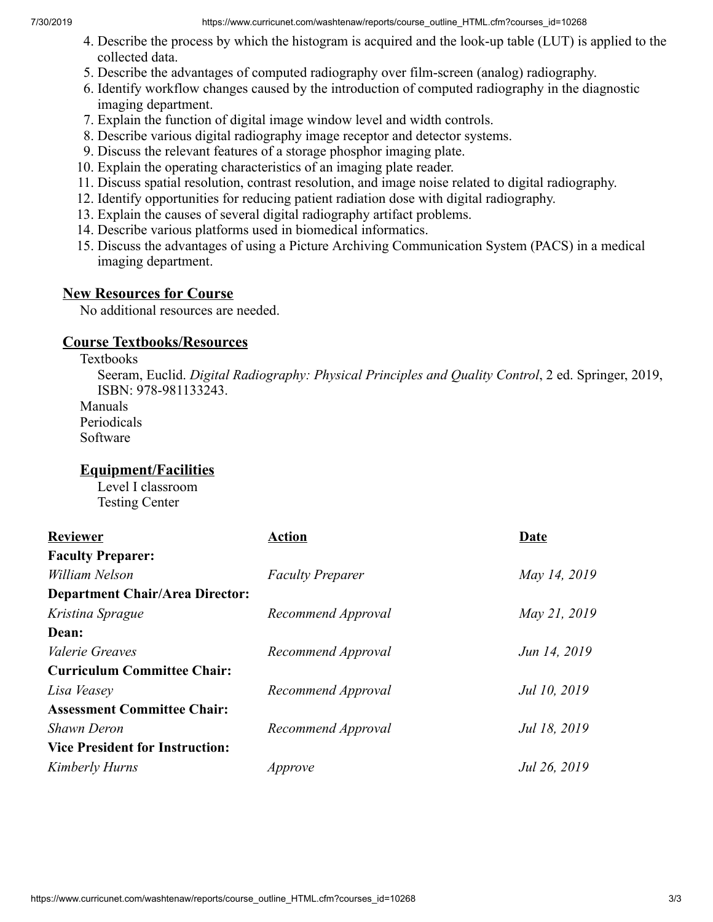7/30/2019 https://www.curricunet.com/washtenaw/reports/course\_outline\_HTML.cfm?courses\_id=10268

- 4. Describe the process by which the histogram is acquired and the look-up table (LUT) is applied to the collected data.
- 5. Describe the advantages of computed radiography over film-screen (analog) radiography.
- 6. Identify workflow changes caused by the introduction of computed radiography in the diagnostic imaging department.
- 7. Explain the function of digital image window level and width controls.
- 8. Describe various digital radiography image receptor and detector systems.
- 9. Discuss the relevant features of a storage phosphor imaging plate.
- 10. Explain the operating characteristics of an imaging plate reader.
- 11. Discuss spatial resolution, contrast resolution, and image noise related to digital radiography.
- 12. Identify opportunities for reducing patient radiation dose with digital radiography.
- 13. Explain the causes of several digital radiography artifact problems.
- 14. Describe various platforms used in biomedical informatics.
- 15. Discuss the advantages of using a Picture Archiving Communication System (PACS) in a medical imaging department.

### **New Resources for Course**

No additional resources are needed.

### **Course Textbooks/Resources**

Textbooks Seeram, Euclid. *Digital Radiography: Physical Principles and Quality Control*, 2 ed. Springer, 2019, ISBN: 978-981133243. Manuals Periodicals Software

### **Equipment/Facilities**

Level I classroom Testing Center

| <b>Reviewer</b>                        | <b>Action</b>           | <b>Date</b>  |
|----------------------------------------|-------------------------|--------------|
| <b>Faculty Preparer:</b>               |                         |              |
| William Nelson                         | <b>Faculty Preparer</b> | May 14, 2019 |
| <b>Department Chair/Area Director:</b> |                         |              |
| Kristina Sprague                       | Recommend Approval      | May 21, 2019 |
| Dean:                                  |                         |              |
| <i>Valerie Greaves</i>                 | Recommend Approval      | Jun 14, 2019 |
| <b>Curriculum Committee Chair:</b>     |                         |              |
| Lisa Veasey                            | Recommend Approval      | Jul 10, 2019 |
| <b>Assessment Committee Chair:</b>     |                         |              |
| <b>Shawn Deron</b>                     | Recommend Approval      | Jul 18, 2019 |
| <b>Vice President for Instruction:</b> |                         |              |
| Kimberly Hurns                         | Approve                 | Jul 26, 2019 |
|                                        |                         |              |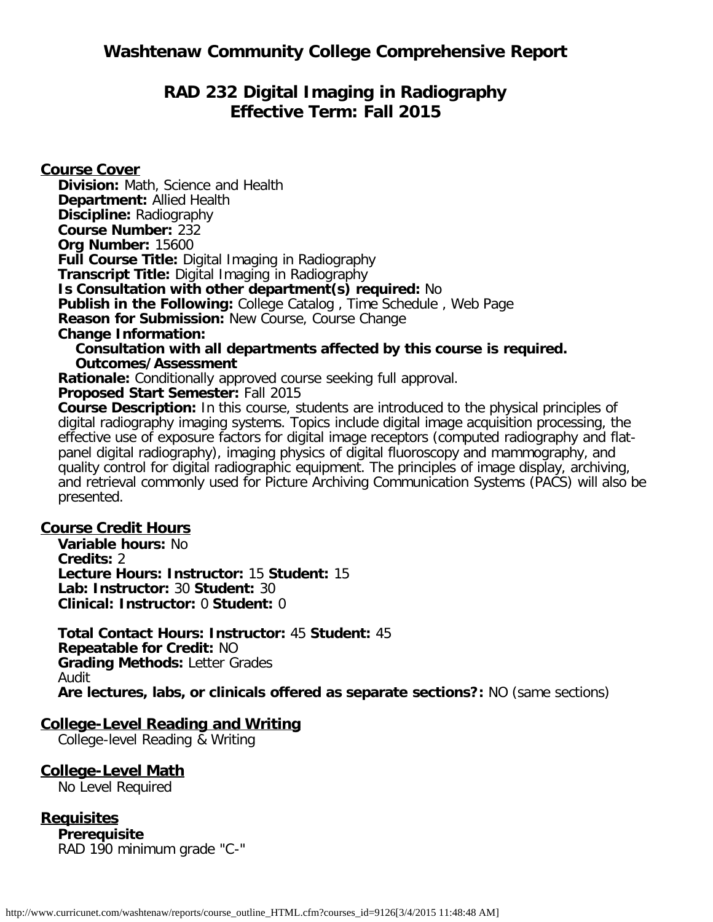# **RAD 232 Digital Imaging in Radiography Effective Term: Fall 2015**

**Course Cover**

**Division:** Math, Science and Health **Department:** Allied Health **Discipline:** Radiography **Course Number:** 232 **Org Number:** 15600 **Full Course Title:** Digital Imaging in Radiography **Transcript Title:** Digital Imaging in Radiography **Is Consultation with other department(s) required:** No **Publish in the Following:** College Catalog , Time Schedule , Web Page **Reason for Submission: New Course, Course Change Change Information: Consultation with all departments affected by this course is required. Outcomes/Assessment**

**Rationale:** Conditionally approved course seeking full approval.

**Proposed Start Semester:** Fall 2015

**Course Description:** In this course, students are introduced to the physical principles of digital radiography imaging systems. Topics include digital image acquisition processing, the effective use of exposure factors for digital image receptors (computed radiography and flatpanel digital radiography), imaging physics of digital fluoroscopy and mammography, and quality control for digital radiographic equipment. The principles of image display, archiving, and retrieval commonly used for Picture Archiving Communication Systems (PACS) will also be presented.

### **Course Credit Hours**

**Variable hours:** No **Credits:** 2 **Lecture Hours: Instructor:** 15 **Student:** 15 **Lab: Instructor:** 30 **Student:** 30 **Clinical: Instructor:** 0 **Student:** 0

**Total Contact Hours: Instructor:** 45 **Student:** 45 **Repeatable for Credit:** NO **Grading Methods:** Letter Grades Audit **Are lectures, labs, or clinicals offered as separate sections?:** NO (same sections)

### **College-Level Reading and Writing**

College-level Reading & Writing

### **College-Level Math**

No Level Required

### **Requisites**

**Prerequisite** RAD 190 minimum grade "C-"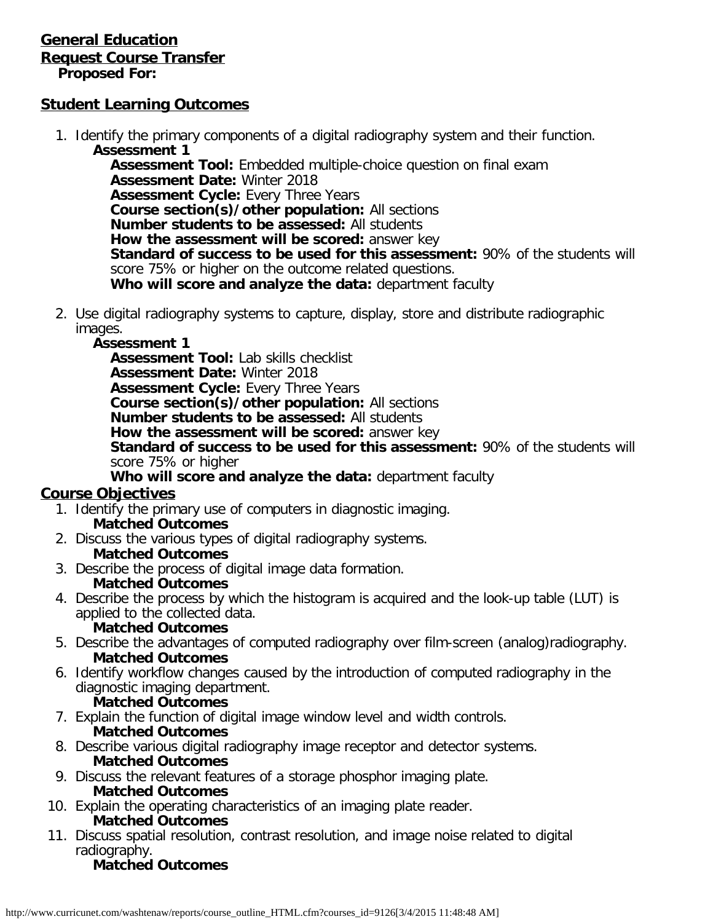### **General Education Request Course Transfer Proposed For:**

### **Student Learning Outcomes**

1. Identify the primary components of a digital radiography system and their function. **Assessment 1**

**Assessment Tool:** Embedded multiple-choice question on final exam **Assessment Date:** Winter 2018 **Assessment Cycle: Every Three Years Course section(s)/other population:** All sections **Number students to be assessed:** All students **How the assessment will be scored:** answer key **Standard of success to be used for this assessment:** 90% of the students will score 75% or higher on the outcome related questions. **Who will score and analyze the data:** department faculty

- 2. Use digital radiography systems to capture, display, store and distribute radiographic images.
	- **Assessment 1**

**Assessment Tool:** Lab skills checklist **Assessment Date:** Winter 2018 **Assessment Cycle:** Every Three Years **Course section(s)/other population:** All sections **Number students to be assessed:** All students **How the assessment will be scored:** answer key **Standard of success to be used for this assessment:** 90% of the students will score 75% or higher

**Who will score and analyze the data:** department faculty

### **Course Objectives**

- 1. Identify the primary use of computers in diagnostic imaging. **Matched Outcomes**
- 2. Discuss the various types of digital radiography systems.
	- **Matched Outcomes**
- 3. Describe the process of digital image data formation.
	- **Matched Outcomes**
- 4. Describe the process by which the histogram is acquired and the look-up table (LUT) is applied to the collected data.

### **Matched Outcomes**

- 5. Describe the advantages of computed radiography over film-screen (analog)radiography. **Matched Outcomes**
- 6. Identify workflow changes caused by the introduction of computed radiography in the diagnostic imaging department.
	- **Matched Outcomes**
- 7. Explain the function of digital image window level and width controls. **Matched Outcomes**
- 8. Describe various digital radiography image receptor and detector systems. **Matched Outcomes**
- 9. Discuss the relevant features of a storage phosphor imaging plate. **Matched Outcomes**
- 10. Explain the operating characteristics of an imaging plate reader.
- **Matched Outcomes** 11. Discuss spatial resolution, contrast resolution, and image noise related to digital radiography.

## **Matched Outcomes**